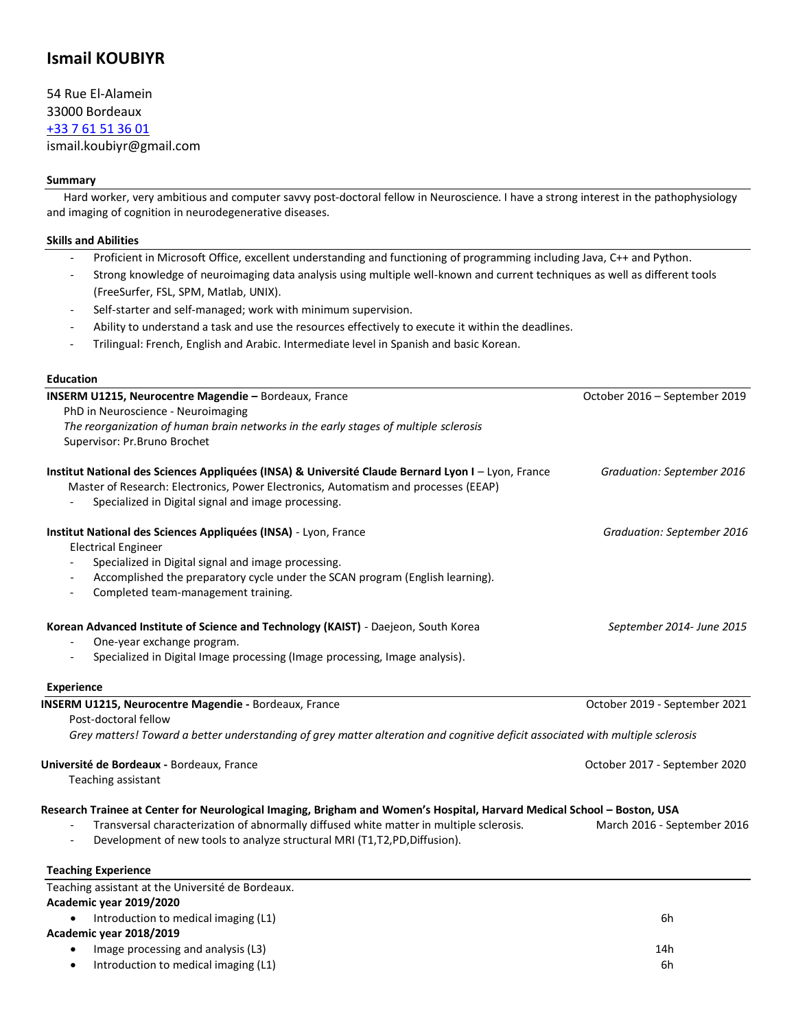# **Ismail KOUBIYR**

54 Rue El-Alamein 33000 Bordeaux +33 7 61 51 36 01 ismail.koubiyr@gmail.com

## **Summary**

 Hard worker, very ambitious and computer savvy post-doctoral fellow in Neuroscience. I have a strong interest in the pathophysiology and imaging of cognition in neurodegenerative diseases.

#### **Skills and Abilities**

- Proficient in Microsoft Office, excellent understanding and functioning of programming including Java, C++ and Python.
- Strong knowledge of neuroimaging data analysis using multiple well-known and current techniques as well as different tools (FreeSurfer, FSL, SPM, Matlab, UNIX).
- Self-starter and self-managed; work with minimum supervision.
- Ability to understand a task and use the resources effectively to execute it within the deadlines.
- Trilingual: French, English and Arabic. Intermediate level in Spanish and basic Korean.

## **Education**

| INSERM U1215, Neurocentre Magendie - Bordeaux, France                                                                                                                                                                                            | October 2016 - September 2019 |
|--------------------------------------------------------------------------------------------------------------------------------------------------------------------------------------------------------------------------------------------------|-------------------------------|
| PhD in Neuroscience - Neuroimaging                                                                                                                                                                                                               |                               |
| The reorganization of human brain networks in the early stages of multiple sclerosis                                                                                                                                                             |                               |
| Supervisor: Pr.Bruno Brochet                                                                                                                                                                                                                     |                               |
| Institut National des Sciences Appliquées (INSA) & Université Claude Bernard Lyon I - Lyon, France<br>Master of Research: Electronics, Power Electronics, Automatism and processes (EEAP)<br>Specialized in Digital signal and image processing. | Graduation: September 2016    |
| Institut National des Sciences Appliquées (INSA) - Lyon, France                                                                                                                                                                                  | Graduation: September 2016    |
| <b>Electrical Engineer</b>                                                                                                                                                                                                                       |                               |
| Specialized in Digital signal and image processing.                                                                                                                                                                                              |                               |
| Accomplished the preparatory cycle under the SCAN program (English learning).                                                                                                                                                                    |                               |
| Completed team-management training.<br>$\overline{\phantom{a}}$                                                                                                                                                                                  |                               |
| Korean Advanced Institute of Science and Technology (KAIST) - Daejeon, South Korea<br>One-year exchange program.                                                                                                                                 | September 2014- June 2015     |
| Specialized in Digital Image processing (Image processing, Image analysis).                                                                                                                                                                      |                               |
|                                                                                                                                                                                                                                                  |                               |
| Experience                                                                                                                                                                                                                                       |                               |
| INSERM U1215, Neurocentre Magendie - Bordeaux, France                                                                                                                                                                                            | October 2019 - September 2021 |
| Post-doctoral fellow                                                                                                                                                                                                                             |                               |
| Grey matters! Toward a better understanding of grey matter alteration and cognitive deficit associated with multiple sclerosis                                                                                                                   |                               |
| Université de Bordeaux - Bordeaux, France                                                                                                                                                                                                        | October 2017 - September 2020 |
| Teaching assistant                                                                                                                                                                                                                               |                               |
| Research Trainee at Center for Neurological Imaging, Brigham and Women's Hospital, Harvard Medical School – Boston, USA                                                                                                                          |                               |
| Transversal characterization of abnormally diffused white matter in multiple sclerosis.                                                                                                                                                          | March 2016 - September 2016   |
| Development of new tools to analyze structural MRI (T1, T2, PD, Diffusion).<br>$\overline{\phantom{a}}$                                                                                                                                          |                               |
| <b>Teaching Experience</b>                                                                                                                                                                                                                       |                               |
| Teaching assistant at the Université de Bordeaux.                                                                                                                                                                                                |                               |
| Academic year 2019/2020                                                                                                                                                                                                                          |                               |

| Academic veal 2019/2020 |                                      |     |  |
|-------------------------|--------------------------------------|-----|--|
|                         | Introduction to medical imaging (L1) | 6h  |  |
| Academic vear 2018/2019 |                                      |     |  |
|                         | Image processing and analysis (L3)   | 14h |  |
|                         | Introduction to medical imaging (L1) | -6h |  |
|                         |                                      |     |  |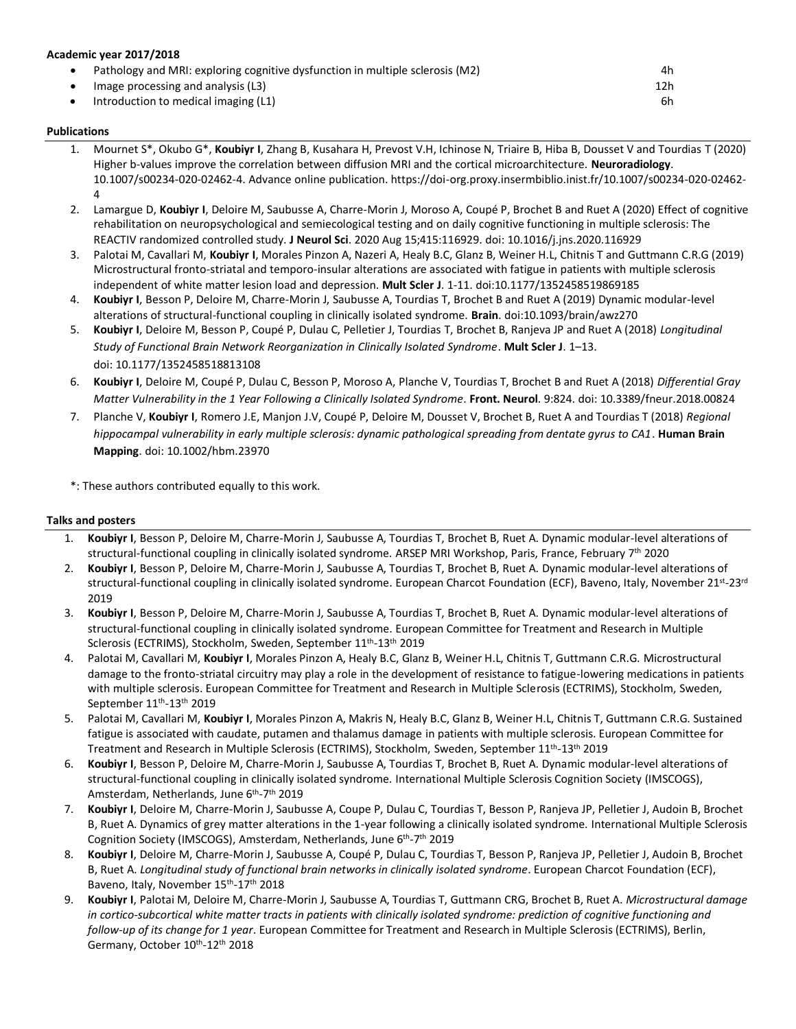| Academic year 2017/2018 |                                                                               |     |  |  |
|-------------------------|-------------------------------------------------------------------------------|-----|--|--|
|                         | Pathology and MRI: exploring cognitive dysfunction in multiple sclerosis (M2) | -4h |  |  |
|                         | Image processing and analysis (L3)                                            | 12h |  |  |
|                         | Introduction to medical imaging (L1)                                          | -6h |  |  |
|                         |                                                                               |     |  |  |

#### **Publications**

- 1. Mournet S\*, Okubo G\*, **Koubiyr I**, Zhang B, Kusahara H, Prevost V.H, Ichinose N, Triaire B, Hiba B, Dousset V and Tourdias T (2020) Higher b-values improve the correlation between diffusion MRI and the cortical microarchitecture. **Neuroradiology**. 10.1007/s00234-020-02462-4. Advance online publication. https://doi-org.proxy.insermbiblio.inist.fr/10.1007/s00234-020-02462- 4
- 2. Lamargue D, **Koubiyr I**, Deloire M, Saubusse A, Charre-Morin J, Moroso A, Coupé P, Brochet B and Ruet A (2020) Effect of cognitive rehabilitation on neuropsychological and semiecological testing and on daily cognitive functioning in multiple sclerosis: The REACTIV randomized controlled study. **J Neurol Sci**. 2020 Aug 15;415:116929. doi: 10.1016/j.jns.2020.116929
- 3. Palotai M, Cavallari M, **Koubiyr I**, Morales Pinzon A, Nazeri A, Healy B.C, Glanz B, Weiner H.L, Chitnis T and Guttmann C.R.G (2019) Microstructural fronto-striatal and temporo-insular alterations are associated with fatigue in patients with multiple sclerosis independent of white matter lesion load and depression. **Mult Scler J**. 1-11. doi:10.1177/1352458519869185
- 4. **Koubiyr I**, Besson P, Deloire M, Charre-Morin J, Saubusse A, Tourdias T, Brochet B and Ruet A (2019) Dynamic modular-level alterations of structural-functional coupling in clinically isolated syndrome. **Brain**. doi:10.1093/brain/awz270
- 5. **Koubiyr I**, Deloire M, Besson P, Coupé P, Dulau C, Pelletier J, Tourdias T, Brochet B, Ranjeva JP and Ruet A (2018) *Longitudinal Study of Functional Brain Network Reorganization in Clinically Isolated Syndrome*. **Mult Scler J**. 1–13. doi: 10.1177/1352458518813108
- 6. **Koubiyr I**, Deloire M, Coupé P, Dulau C, Besson P, Moroso A, Planche V, Tourdias T, Brochet B and Ruet A (2018) *Differential Gray Matter Vulnerability in the 1 Year Following a Clinically Isolated Syndrome*. **Front. Neurol**. 9:824. doi: 10.3389/fneur.2018.00824
- 7. Planche V, **Koubiyr I**, Romero J.E, Manjon J.V, Coupé P, Deloire M, Dousset V, Brochet B, Ruet A and Tourdias T (2018) *Regional hippocampal vulnerability in early multiple sclerosis: dynamic pathological spreading from dentate gyrus to CA1*. **Human Brain Mapping**. doi: 10.1002/hbm.23970

\*: These authors contributed equally to this work.

#### **Talks and posters**

- 1. **Koubiyr I**, Besson P, Deloire M, Charre-Morin J, Saubusse A, Tourdias T, Brochet B, Ruet A. Dynamic modular-level alterations of structural-functional coupling in clinically isolated syndrome. ARSEP MRI Workshop, Paris, France, February 7<sup>th</sup> 2020
- 2. **Koubiyr I**, Besson P, Deloire M, Charre-Morin J, Saubusse A, Tourdias T, Brochet B, Ruet A. Dynamic modular-level alterations of structural-functional coupling in clinically isolated syndrome. European Charcot Foundation (ECF), Baveno, Italy, November 21<sup>st</sup>-23<sup>rd</sup> 2019
- 3. **Koubiyr I**, Besson P, Deloire M, Charre-Morin J, Saubusse A, Tourdias T, Brochet B, Ruet A. Dynamic modular-level alterations of structural-functional coupling in clinically isolated syndrome. European Committee for Treatment and Research in Multiple Sclerosis (ECTRIMS), Stockholm, Sweden, September 11<sup>th</sup>-13<sup>th</sup> 2019
- 4. Palotai M, Cavallari M, **Koubiyr I**, Morales Pinzon A, Healy B.C, Glanz B, Weiner H.L, Chitnis T, Guttmann C.R.G. Microstructural damage to the fronto-striatal circuitry may play a role in the development of resistance to fatigue-lowering medications in patients with multiple sclerosis. European Committee for Treatment and Research in Multiple Sclerosis (ECTRIMS), Stockholm, Sweden, September 11th -13th 2019
- 5. Palotai M, Cavallari M, **Koubiyr I**, Morales Pinzon A, Makris N, Healy B.C, Glanz B, Weiner H.L, Chitnis T, Guttmann C.R.G. Sustained fatigue is associated with caudate, putamen and thalamus damage in patients with multiple sclerosis. European Committee for <code>Treatment</code> and Research in Multiple Sclerosis (ECTRIMS), Stockholm, Sweden, September  $11^{\text{th}}$ - $13^{\text{th}}$  2019
- 6. **Koubiyr I**, Besson P, Deloire M, Charre-Morin J, Saubusse A, Tourdias T, Brochet B, Ruet A. Dynamic modular-level alterations of structural-functional coupling in clinically isolated syndrome. International Multiple Sclerosis Cognition Society (IMSCOGS), Amsterdam, Netherlands, June 6<sup>th</sup>-7<sup>th</sup> 2019
- 7. **Koubiyr I**, Deloire M, Charre-Morin J, Saubusse A, Coupe P, Dulau C, Tourdias T, Besson P, Ranjeva JP, Pelletier J, Audoin B, Brochet B, Ruet A. Dynamics of grey matter alterations in the 1-year following a clinically isolated syndrome. International Multiple Sclerosis Cognition Society (IMSCOGS), Amsterdam, Netherlands, June 6<sup>th</sup>-7<sup>th</sup> 2019
- 8. **Koubiyr I**, Deloire M, Charre-Morin J, Saubusse A, Coupé P, Dulau C, Tourdias T, Besson P, Ranjeva JP, Pelletier J, Audoin B, Brochet B, Ruet A. *Longitudinal study of functional brain networks in clinically isolated syndrome*. European Charcot Foundation (ECF), Baveno, Italy, November 15<sup>th</sup>-17<sup>th</sup> 2018
- 9. **Koubiyr I**, Palotai M, Deloire M, Charre-Morin J, Saubusse A, Tourdias T, Guttmann CRG, Brochet B, Ruet A. *Microstructural damage in cortico-subcortical white matter tracts in patients with clinically isolated syndrome: prediction of cognitive functioning and follow-up of its change for 1 year*. European Committee for Treatment and Research in Multiple Sclerosis (ECTRIMS), Berlin, Germany, October 10<sup>th</sup>-12<sup>th</sup> 2018